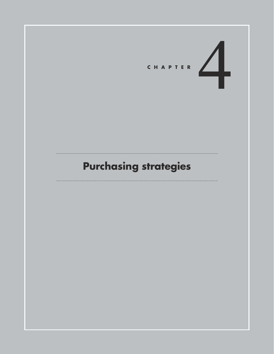

# **Purchasing strategies**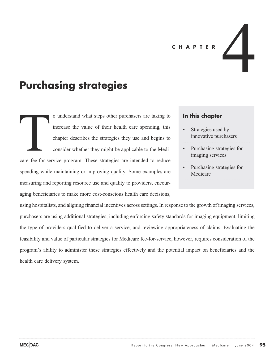#### **CHAPTER**

## **Purchasing strategies**

o understand what steps other purchasers are taking to increase the value of their health care spending, this chapter describes the strategies they use and begins to consider whether they might be applicable to the Medicare fee-for-service program. These strategies are intended to reduce spending while maintaining or improving quality. Some examples are measuring and reporting resource use and quality to providers, encouraging beneficiaries to make more cost-conscious health care decisions, Care fee-for-se

#### **In this chapter**

Strategies used by innovative purchasers

4

- Purchasing strategies for imaging services
- Purchasing strategies for Medicare

using hospitalists, and aligning financial incentives across settings. In response to the growth of imaging services, purchasers are using additional strategies, including enforcing safety standards for imaging equipment, limiting the type of providers qualified to deliver a service, and reviewing appropriateness of claims. Evaluating the feasibility and value of particular strategies for Medicare fee-for-service, however, requires consideration of the program's ability to administer these strategies effectively and the potential impact on beneficiaries and the health care delivery system.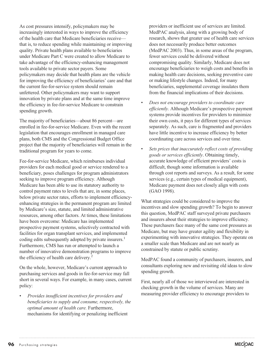As cost pressures intensify, policymakers may be increasingly interested in ways to improve the efficiency of the health care that Medicare beneficiaries receive that is, to reduce spending while maintaining or improving quality. Private health plans available to beneficiaries under Medicare Part C were created to allow Medicare to take advantage of the efficiency-enhancing management tools available to private sector payers. Some policymakers may decide that health plans are the vehicle for improving the efficiency of beneficiaries' care and that the current fee-for-service system should remain unfettered. Other policymakers may want to support innovation by private plans and at the same time improve the efficiency in fee-for-service Medicare to constrain spending growth.

The majority of beneficiaries—about 86 percent—are enrolled in fee-for-service Medicare. Even with the recent legislation that encourages enrollment in managed care plans, both CMS and the Congressional Budget Office project that the majority of beneficiaries will remain in the traditional program for years to come.

Fee-for-service Medicare, which reimburses individual providers for each medical good or service rendered to a beneficiary, poses challenges for program administrators seeking to improve program efficiency. Although Medicare has been able to use its statutory authority to control payment rates to levels that are, in some places, below private sector rates, efforts to implement efficiencyenhancing strategies in the permanent program are limited by Medicare's size, statute, and limited administrative resources, among other factors. At times, these limitations have been overcome: Medicare has implemented prospective payment systems, selectively contracted with facilities for organ transplant services, and implemented coding edits subsequently adopted by private insurers.<sup>1</sup> Furthermore, CMS has run or attempted to launch a number of innovative demonstration programs to improve the efficiency of health care delivery.<sup>2</sup>

On the whole, however, Medicare's current approach to purchasing services and goods in fee-for-service may fall short in several ways. For example, in many cases, current policy:

• *Provides insufficient incentives for providers and beneficiaries to supply and consume, respectively, the optimal amount of health care.* Furthermore, mechanisms for identifying or penalizing inefficient

providers or inefficient use of services are limited. MedPAC analysis, along with a growing body of research, shows that greater use of health care services does not necessarily produce better outcomes (MedPAC 2003). Thus, in some areas of the program, fewer services could be delivered without compromising quality. Similarly, Medicare does not encourage beneficiaries to weigh costs and benefits in making health care decisions, seeking preventive care or making lifestyle changes. Indeed, for many beneficiaries, supplemental coverage insulates them from the financial implications of their decisions.

- *Does not encourage providers to coordinate care efficiently.* Although Medicare's prospective payment systems provide incentives for providers to minimize their own costs, it pays for different types of services separately. As such, care is fragmented and providers have little incentive to increase efficiency by better coordinating care across services and over time.
- *Sets prices that inaccurately reflect costs of providing goods or services efficiently*. Obtaining timely, accurate knowledge of efficient providers' costs is difficult, though some information is available through cost reports and surveys. As a result, for some services (e.g., certain types of medical equipment), Medicare payment does not closely align with costs (GAO 1998).

What strategies could be considered to improve the incentives and slow spending growth? To begin to answer this question, MedPAC staff surveyed private purchasers and insurers about their strategies to improve efficiency. These purchasers face many of the same cost pressures as Medicare, but may have greater agility and flexibility in experimenting with innovative strategies. They operate on a smaller scale than Medicare and are not nearly as constrained by statute or public scrutiny.

MedPAC found a community of purchasers, insurers, and consultants exploring new and revisiting old ideas to slow spending growth.

First, nearly all of those we interviewed are interested in checking growth in the volume of services. Many are measuring provider efficiency to encourage providers to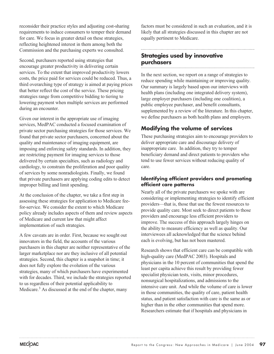reconsider their practice styles and adjusting cost-sharing requirements to induce consumers to temper their demand for care. We focus in greater detail on these strategies, reflecting heightened interest in them among both the Commission and the purchasing experts we consulted.

Second, purchasers reported using strategies that encourage greater productivity in delivering certain services. To the extent that improved productivity lowers costs, the price paid for services could be reduced. Thus, a third overarching type of strategy is aimed at paying prices that better reflect the cost of the service. These pricing strategies range from competitive bidding to tiering to lowering payment when multiple services are performed during an encounter.

Given our interest in the appropriate use of imaging services, MedPAC conducted a focused examination of private sector purchasing strategies for those services. We found that private sector purchasers, concerned about the quality and maintenance of imaging equipment, are imposing and enforcing safety standards. In addition, they are restricting payment for imaging services to those delivered by certain specialties, such as radiology and cardiology, to constrain the proliferation and poor quality of services by some nonradiologists. Finally, we found that private purchasers are applying coding edits to detect improper billing and limit spending.

At the conclusion of the chapter, we take a first step in assessing these strategies for application to Medicare feefor-service. We consider the extent to which Medicare policy already includes aspects of them and review aspects of Medicare and current law that might affect implementation of such strategies.

A few caveats are in order. First, because we sought out innovators in the field, the accounts of the various purchasers in this chapter are neither representative of the larger marketplace nor are they inclusive of all potential strategies. Second, this chapter is a snapshot in time; it does not fully explore the evolution of the various strategies, many of which purchasers have experimented with for decades. Third, we include the strategies reported to us regardless of their potential applicability to Medicare.<sup>3</sup> As discussed at the end of the chapter, many

factors must be considered in such an evaluation, and it is likely that all strategies discussed in this chapter are not equally pertinent to Medicare.

## **Strategies used by innovative purchasers**

In the next section, we report on a range of strategies to reduce spending while maintaining or improving quality. Our summary is largely based upon our interviews with health plans (including one integrated delivery system), large employer purchasers (including one coalition), a public employee purchaser, and benefit consultants, supplemented by a review of the literature. In this chapter, we define purchasers as both health plans and employers.

## **Modifying the volume of services**

These purchasing strategies aim to encourage providers to deliver appropriate care and discourage delivery of inappropriate care. In addition, they try to temper beneficiary demand and direct patients to providers who tend to use fewer services without reducing quality of care.

#### **Identifying efficient providers and promoting efficient care patterns**

Nearly all of the private purchasers we spoke with are considering or implementing strategies to identify efficient providers—that is, those that use the fewest resources to provide quality care. Most seek to direct patients to those providers and encourage less efficient providers to improve. The success of this approach largely hinges on the ability to measure efficiency as well as quality. Our interviewees all acknowledged that the science behind each is evolving, but has not been mastered.

Research shows that efficient care can be compatible with high-quality care (MedPAC 2003). Hospitals and physicians in the 10 percent of communities that spend the least per capita achieve this result by providing fewer specialist physician tests, visits, minor procedures, nonsurgical hospitalizations, and admissions to the intensive care unit. And while the volume of care is lower in those communities, the quality of care, patient health status, and patient satisfaction with care is the same as or higher than in the other communities that spend more. Researchers estimate that if hospitals and physicians in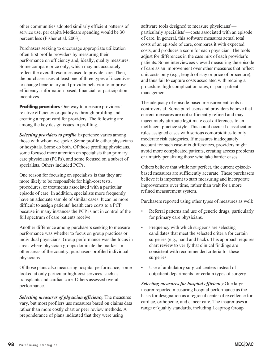other communities adopted similarly efficient patterns of service use, per capita Medicare spending would be 30 percent less (Fisher et al. 2003).

Purchasers seeking to encourage appropriate utilization often first profile providers by measuring their performance on efficiency and, ideally, quality measures. Some compare price only, which may not accurately reflect the overall resources used to provide care. Then, the purchaser uses at least one of three types of incentives to change beneficiary and provider behavior to improve efficiency: information-based, financial, or participation incentives.

**Profiling providers** One way to measure providers' relative efficiency or quality is through profiling and creating a report card for providers. The following are among the key design issues in profiling.

*Selecting providers to profile* Experience varies among those with whom we spoke. Some profile either physicians or hospitals. Some do both. Of those profiling physicians, some focused more attention on specialists than primary care physicians (PCPs), and some focused on a subset of specialists. Others included PCPs.

One reason for focusing on specialists is that they are more likely to be responsible for high-cost tests, procedures, or treatments associated with a particular episode of care. In addition, specialists more frequently have an adequate sample of similar cases. It can be more difficult to assign patients' health care costs to a PCP because in many instances the PCP is not in control of the full spectrum of care patients receive.

Another difference among purchasers seeking to measure performance was whether to focus on group practices or individual physicians. Group performance was the focus in areas where physician groups dominate the market. In other areas of the country, purchasers profiled individual physicians.

Of those plans also measuring hospital performance, some looked at only particular high-cost services, such as transplants and cardiac care. Others assessed overall performance.

*Selecting measures of physician efficiency* The measures vary, but most profilers use measures based on claims data rather than more costly chart or peer review methods. A preponderance of plans indicated that they were using

software tools designed to measure physicians' particularly specialists'—costs associated with an episode of care. In general, this software measures actual total costs of an episode of care, compares it with expected costs, and produces a score for each physician. The tools adjust for differences in the case mix of each provider's patients. Some interviewees viewed measuring the episode of care as an improvement over other measures that reflect unit costs only (e.g., length of stay or price of procedure), and thus fail to capture costs associated with redoing a procedure, high complication rates, or poor patient management.

The adequacy of episode-based measurement tools is controversial. Some purchasers and providers believe that current measures are not sufficiently refined and may inaccurately attribute legitimate cost differences to an inefficient practice style. This could occur if classification rules assigned cases with serious comorbidities to only moderate risk categories. If measures inadequately account for such case-mix differences, providers might avoid more complicated patients, creating access problems or unfairly penalizing those who take harder cases.

Others believe that while not perfect, the current episodebased measures are sufficiently accurate. These purchasers believe it is important to start measuring and incorporate improvements over time, rather than wait for a more refined measurement system.

Purchasers reported using other types of measures as well:

- Referral patterns and use of generic drugs, particularly for primary care physicians.
- Frequency with which surgeons are selecting candidates that meet the selected criteria for certain surgeries (e.g., hand and back). This approach requires chart review to verify that clinical findings are consistent with recommended criteria for these surgeries.
- Use of ambulatory surgical centers instead of outpatient departments for certain types of surgery.

*Selecting measures for hospital efficiency* One large insurer reported measuring hospital performance as the basis for designation as a regional center of excellence for cardiac, orthopedic, and cancer care. The insurer uses a range of quality standards, including Leapfrog Group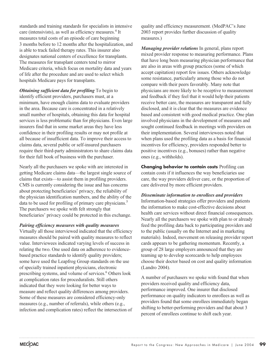standards and training standards for specialists in intensive care (intensivists), as well as efficiency measures.<sup>4</sup> It measures total costs of an episode of care beginning 3 months before to 12 months after the hospitalization, and is able to track failed therapy rates. This insurer also designates national centers of excellence for transplants. The measures for transplant centers tend to mirror Medicare criteria, which focus on mortality data and years of life after the procedure and are used to select which hospitals Medicare pays for transplants.

*Obtaining sufficient data for profiling* To begin to identify efficient providers, purchasers must, at a minimum, have enough claims data to evaluate providers in the area. Because care is concentrated in a relatively small number of hospitals, obtaining this data for hospital services is less problematic than for physicians. Even large insurers find that in some market areas they have less confidence in their profiling results or may not profile at all because of insufficient data. To improve their access to claims data, several public or self-insured purchasers require their third-party administrators to share claims data for their full book of business with the purchaser.

Nearly all the purchasers we spoke with are interested in getting Medicare claims data—the largest single source of claims that exists—to assist them in profiling providers. CMS is currently considering the issue and has concerns about protecting beneficiaries' privacy, the reliability of the physician identification numbers, and the ability of the data to be used for profiling of primary care physicians.<sup>5</sup> The purchasers we spoke with felt strongly that beneficiaries' privacy could be protected in this exchange.

#### *Pairing efficiency measures with quality measures*

Virtually all those interviewed indicated that the efficiency measures should be paired with quality measures to reflect value. Interviewees indicated varying levels of success in relating the two. One used data on adherence to evidencebased practice standards to identify quality providers; some have used the Leapfrog Group standards on the use of specially trained inpatient physicians, electronic prescribing systems, and volume of services.<sup>6</sup> Others look at complication rates for proceduralists. Still others indicated that they were looking for better ways to measure and reflect quality differences among providers. Some of these measures are considered efficiency-only measures (e.g., number of referrals), while others (e.g., infection and complication rates) reflect the intersection of

quality and efficiency measurement. (MedPAC's June 2003 report provides further discussion of quality measures.)

*Managing provider relations* In general, plans report mixed provider response to measuring performance. Plans that have long been measuring physician performance that are also in areas with group practices (some of which accept capitation) report few issues. Others acknowledge some resistance, particularly among those who do not compare with their peers favorably. Many note that physicians are more likely to be receptive to measurement and feedback if they feel that it would help their patients receive better care, the measures are transparent and fully disclosed, and it is clear that the measures are evidence based and consistent with good medical practice. One plan involved physicians in the development of measures and sought continued feedback in meetings with providers on their implementation. Several interviewees noted that when plans used the profiling data as a basis for financial incentives for efficiency, providers responded better to positive incentives (e.g., bonuses) rather than negative ones (e.g., withholds).

**Changing behavior to contain costs** Profiling can contain costs if it influences the way beneficiaries use care, the way providers deliver care, or the proportion of care delivered by more efficient providers.

*Disseminate information to enrollees and providers* Information-based strategies offer providers and patients the information to make cost-effective decisions about health care services without direct financial consequences. Nearly all the purchasers we spoke with plan to or already feed the profiling data back to participating providers and to the public (usually on the Internet and in marketing materials). Indeed, movement on releasing provider report cards appears to be gathering momentum. Recently, a group of 28 large employers announced that they are teaming up to develop scorecards to help employees choose their doctor based on cost and quality information (Landro 2004).

A number of purchasers we spoke with found that when providers received quality and efficiency data, performance improved. One insurer that disclosed performance on quality indicators to enrollees as well as providers found that some enrollees immediately began shifting to better-performing providers and that about 3 percent of enrollees continue to shift each year.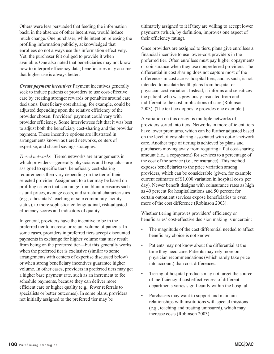Others were less persuaded that feeding the information back, in the absence of other incentives, would induce much change. One purchaser, while intent on releasing the profiling information publicly, acknowledged that enrollees do not always use this information effectively. Yet, the purchaser felt obliged to provide it when available. One also noted that beneficiaries may not know how to interpret efficiency data; beneficiaries may assume that higher use is always better.

*Create payment incentives* Payment incentives generally seek to induce patients or providers to use cost-effective care by creating stronger rewards or penalties around care decisions. Beneficiary cost sharing, for example, could be adjusted depending upon the relative efficiency of the provider chosen. Providers' payment could vary with provider efficiency. Some interviewees felt that it was best to adjust both the beneficiary cost-sharing and the provider payment. These incentive options are illustrated in arrangements known as tiered networks, centers of expertise, and shared savings strategies.

*Tiered networks.* Tiered networks are arrangements in which providers—generally physicians and hospitals—are assigned to specific tiers; beneficiary cost-sharing requirements then vary depending on the tier of their selected provider. Assignment to a tier may be based on profiling criteria that can range from blunt measures such as unit prices, average costs, and structural characteristics (e.g., a hospitals' teaching or sole community facility status), to more sophisticated longitudinal, risk-adjusted efficiency scores and indicators of quality.

In general, providers have the incentive to be in the preferred tier to increase or retain volume of patients. In some cases, providers in preferred tiers accept discounted payments in exchange for higher volume that may result from being on the preferred tier—but this generally works when the preferred tier is exclusive (similar to some arrangements with centers of expertise discussed below) or when strong beneficiary incentives guarantee higher volume. In other cases, providers in preferred tiers may get a higher base payment rate, such as an increment to fee schedule payments, because they can deliver more efficient care or higher quality (e.g., fewer referrals to specialists or better outcomes). In some plans, providers not initially assigned to the preferred tier may be

ultimately assigned to it if they are willing to accept lower payments (which, by definition, improves one aspect of their efficiency rating).

Once providers are assigned to tiers, plans give enrollees a financial incentive to use lower-cost providers in the preferred tier. Often enrollees must pay higher copayments or coinsurance when they use nonpreferred providers. The differential in cost sharing does not capture most of the differences in cost across hospital tiers, and as such, is not intended to insulate health plans from hospital or physician cost variation. Instead, it informs and sensitizes the patient, who was previously insulated from and indifferent to the cost implications of care (Robinson 2003). (The text box opposite provides one example.)

A variation on this design is multiple networks of providers sorted into tiers. Networks in more efficient tiers have lower premiums, which can be further adjusted based on the level of cost-sharing associated with out-of-network care. Another type of tiering is achieved by plans and purchasers moving away from requiring a flat cost-sharing amount (i.e., a copayment) for services to a percentage of the cost of the service (i.e., coinsurance). This method exposes beneficiaries to the price variation among providers, which can be considerable (given, for example current estimates of \$1,000 variation in hospital costs per day). Newer benefit designs with coinsurance rates as high as 40 percent for hospitalizations and 50 percent for certain outpatient services expose beneficiaries to even more of the cost difference (Robinson 2003).

Whether tiering improves providers' efficiency or beneficiaries' cost-effective decision making is uncertain:

- The magnitude of the cost differential needed to affect beneficiary choice is not known.
- Patients may not know about the differential at the time they need care. Patients may rely more on physician recommendations (which rarely take price into account) than cost differences.
- Tiering of hospital products may not target the source of inefficiency if cost effectiveness of different departments varies significantly within the hospital.
- Purchasers may want to support and maintain relationships with institutions with special missions (e.g., teaching and treating uninsured), which may increase costs (Robinson 2003).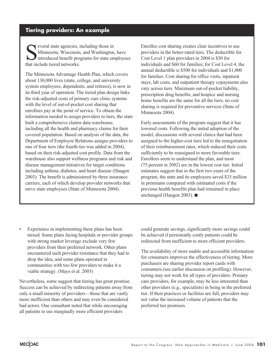## **Tiering providers: An example**

Several state agencies, including those in<br>Minnesota, Wisconsin, and Washington<br>introduced benefit programs for state en<br>that include tiered networks Minnesota, Wisconsin, and Washington, have introduced benefit programs for state employees that include tiered networks.

The Minnesota Advantage Health Plan, which covers about 130,000 lives (state, college, and university system employees, dependents, and retirees), is now in its third year of operation. The tiered plan design links the risk-adjusted costs of primary care clinic systems with the level of out-of-pocket cost sharing that enrollees pay at the point of service. To obtain the information needed to assign providers to tiers, the state built a comprehensive claims data warehouse, including all the health and pharmacy claims for their covered population. Based on analysis of the data, the Department of Employee Relations assigns providers to one of four tiers (the fourth tier was added in 2004), based on their risk-adjusted cost profile. Data from the warehouse also support wellness programs and risk and disease management initiatives for target conditions including asthma, diabetes, and heart disease (Haugen 2003). The benefit is administered by three insurance carriers, each of which develop provider networks that serve state employees (State of Minnesota 2004).

Enrollee cost sharing creates clear incentives to use providers in the better-rated tiers. The deductible for Cost Level 1 plan providers in 2004 is \$30 for individuals and \$60 for families; for Cost Level 4, the annual deductible is \$500 for individuals and \$1,000 for families. Cost sharing for office visits, inpatient stays, lab costs, and outpatient therapy copayments also vary across tiers. Maximum out-of-pocket liability, prescription drug benefits, and hospice and nursing home benefits are the same for all the tiers; no cost sharing is required for preventive services (State of Minnesota 2004).

Early assessments of the program suggest that it has lowered costs. Following the initial adoption of the model, discussions with several clinics that had been assigned to the higher-cost tiers led to the renegotiation of their reimbursement rates, which reduced their costs sufficiently to be reassigned to more favorable tiers. Enrollees seem to understand the plan, and most (75 percent in 2002) are in the lowest cost tier. Initial estimates suggest that in the first two years of the program, the state and its employees saved \$33 million in premiums compared with estimated costs if the previous health benefits plan had remained in place unchanged (Haugen 2003).  $\blacksquare$ 

Experience in implementing these plans has been mixed. Some plans facing hospitals or provider groups with strong market leverage exclude very few providers from their preferred network. Other plans encountered such provider resistance that they had to drop the idea, and some plans operated in communities with too few providers to make it a viable strategy. (Mays et al. 2003)

Nevertheless, some suggest that tiering has great promise. Success can be achieved by redirecting patients away from only a small minority of providers—those that are vastly more inefficient than others and may even be considered bad actors. One consultant noted that while encouraging all patients to use marginally more efficient providers

could generate savings, significantly more savings could be achieved if persistently costly patients could be redirected from inefficient to more efficient providers.

The availability of more usable and accessible information for consumers improves the effectiveness of tiering. More purchasers are sharing provider report cards with consumers (see earlier discussion on profiling). However, tiering may not work for all types of providers. Primary care providers, for example, may be less interested than other providers (e.g., specialists) in being in the preferred tier. If their practices or facilities are full, providers may not value the increased volume of patients that the preferred tier promises.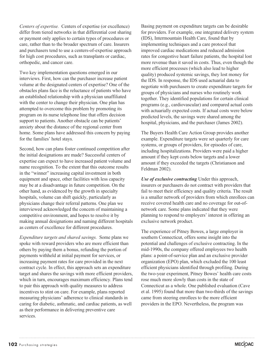*Centers of expertise.* Centers of expertise (or excellence) differ from tiered networks in that differential cost sharing or payment only applies to certain types of procedures or care, rather than to the broader spectrum of care. Insurers and purchasers tend to use a centers-of-expertise approach for high cost procedures, such as transplants or cardiac, orthopedic, and cancer care.

Two key implementation questions emerged in our interviews. First, how can the purchaser increase patient volume at the designated centers of expertise? One of the obstacles plans face is the reluctance of patients who have an established relationship with a physician unaffiliated with the center to change their physician. One plan has attempted to overcome this problem by promoting its program on its nurse telephone line that offers decision support to patients. Another obstacle can be patients' anxiety about the distance of the regional center from home. Some plans have addressed this concern by paying for the families' hotel stays.

Second, how can plans foster continued competition after the initial designations are made? Successful centers of expertise can expect to have increased patient volume and name recognition. To the extent that this outcome results in the "winner" increasing capital investment in both equipment and space, other facilities with less capacity may be at a disadvantage in future competition. On the other hand, as evidenced by the growth in specialty hospitals, volume can shift quickly, particularly as physicians change their referral patterns. One plan we interviewed acknowledged the concern of maintaining a competitive environment, and hopes to resolve it by making annual designations and naming different hospitals as centers of excellence for different procedures.

*Expenditure targets and shared savings.* Some plans we spoke with reward providers who are more efficient than others by paying them a bonus, refunding the portion of payments withheld at initial payment for services, or increasing payment rates for care provided in the next contract cycle. In effect, this approach sets an expenditure target and shares the savings with more efficient providers, which in turn, encourages maximum efficiency. Plans tend to pair this approach with quality measures to address incentives to stint on care. For example, plans reported measuring physicians' adherence to clinical standards in caring for diabetic, asthmatic, and cardiac patients, as well as their performance in delivering preventive care services.

Basing payment on expenditure targets can be desirable for providers. For example, one integrated delivery system (IDS), Intermountain Health Care, found that by implementing techniques and a care protocol that improved cardiac medications and reduced admission rates for congestive heart failure patients, the hospital lost more revenue than it saved in costs. Thus, even though the more efficient processes (which also lead to higher quality) produced systemic savings, they lost money for the IDS. In response, the IDS used actuarial data to negotiate with purchasers to create expenditure targets for groups of physicians and nurses who routinely work together. They identified populations for certain clinical programs (e.g., cardiovascular) and compared actual costs with actuarially expected costs. If actual costs were below predicted levels, the savings were shared among the hospital, physicians, and the purchaser (James 2002).

The Buyers Health Care Action Group provides another example. Expenditure targets were set quarterly for care systems, or groups of providers, for episodes of care, including hospitalizations. Providers were paid a higher amount if they kept costs below targets and a lower amount if they exceeded the targets (Christianson and Feldman 2002).

*Use of exclusive contracting* Under this approach, insurers or purchasers do not contract with providers that fail to meet their efficiency and quality criteria. The result is a smaller network of providers from which enrollees can receive covered health care and no coverage for out-ofnetwork care. Some plans indicated that they were planning to respond to employers' interest in offering an exclusive network product.

The experience of Pitney Bowes, a large employer in southern Connecticut, offers some insight into the potential and challenges of exclusive contracting. In the mid-1990s, the company offered employees two health plans: a point-of-service plan and an exclusive provider organization (EPO) plan, which excluded the 100 least efficient physicians identified through profiling. During the two-year experiment, Pitney Bowes' health care costs rose much more slowly than costs in the state of Connecticut as a whole. One published evaluation (Cave et al. 1995) found that more than two-thirds of the savings came from steering enrollees to the more efficient providers in the EPO. Nevertheless, the program was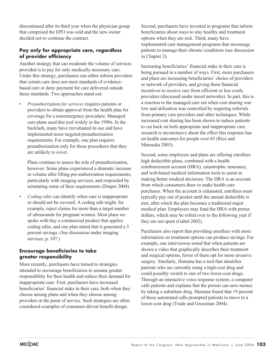discontinued after its third year when the physician group that comprised the EPO was sold and the new owner decided not to continue the contract.

#### **Pay only for appropriate care, regardless of provider efficiency**

Another strategy that can moderate the volume of services provided is to pay for only medically necessary care. Under this strategy, purchasers can either inform providers that certain care does not meet standards of evidencebased care or deny payment for care delivered outside these standards. Two approaches stand out:

• *Preauthorization for services* requires patients or providers to obtain approval from the health plan for coverage for a nonemergency procedure. Managed care plans used this tool widely in the 1990s. In the backlash, many have reevaluated its use and have implemented more targeted preauthorization requirements. For example, one plan requires preauthorization only for those procedures that they are unlikely to cover.

Plans continue to assess the role of preauthorization, however. Some plans experienced a dramatic increase in volume after lifting pre-authorization requirements, particularly with imaging services, and responded by reinstating some of their requirements (Draper 2004).

• *Coding edits* can identify when care is inappropriate or should not be covered. A coding edit might, for example, reject claims for more than a target number of ultrasounds for pregnant women. Most plans we spoke with buy a commercial product that applies coding edits, and one plan stated that it generated a 5 percent savings. (See discussion under imaging services, p. 107.)

#### **Encourage beneficiaries to take greater responsibility**

More recently, purchasers have turned to strategies intended to encourage beneficiaries to assume greater responsibility for their health and reduce their demand for inappropriate care. First, purchasers have increased beneficiaries' financial stake in their care, both when they choose among plans and when they choose among providers at the point of service. Such strategies are often considered examples of consumer-driven benefit design.

Second, purchasers have invested in programs that inform beneficiaries about ways to stay healthy and treatment options when they are sick. Third, many have implemented care management programs that encourage patients to manage their chronic conditions (see discussion in Chapter 2).

Increasing beneficiaries' financial stake in their care is being pursued in a number of ways. First, more purchasers and plans are increasing beneficiaries' choice of providers or network of providers, and giving them financial incentives to receive care from efficient or less costly providers (discussed under tiered networks). In part, this is a reaction to the managed care era when cost sharing was low and utilization was controlled by requiring referrals from primary care providers and other techniques. While increased cost sharing has been shown to induce patients to cut back on both appropriate and inappropriate care, research is inconclusive about the effect this response has on health outcomes for people over 65 (Rice and Matsuoka 2003).

Second, some employers and plans are offering enrollees high deductible plans, combined with a health reimbursement account (HRA), catastrophic insurance, and web-based medical information tools to assist in making better medical decisions. The HRA is an account from which consumers draw to make health care purchases. When the account is exhausted, enrollees must typically pay out of pocket until the annual deductible is met, after which the plan becomes a traditional major medical plan. Employers may fund the HRA with pretax dollars, which may be rolled over to the following year if they are not spent (Gabel 2002).

Purchasers also report that providing enrollees with more information on treatment options can produce savings. For example, one interviewee noted that when patients are shown a video that graphically describes their treatment and surgical options, fewer of them opt for more invasive surgery. Similarly, Humana has a tool that identifies patients who are currently using a high-cost drug and could possibly switch to one of two lower-cost drugs. Through an interactive voice response system, a computer calls patients and explains that the person can save money by taking a substitute drug. Humana found that 19 percent of these automated calls prompted patients to move to a lower-cost drug (Trude and Grossman 2004).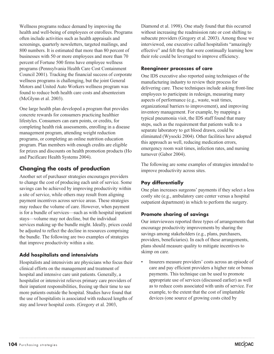Wellness programs reduce demand by improving the health and well-being of employees or enrollees. Programs often include activities such as health appraisals and screenings, quarterly newsletters, targeted mailings, and 800 numbers. It is estimated that more than 80 percent of businesses with 50 or more employees and more than 70 percent of Fortune 500 firms have employee wellness programs (Pennsylvania Health Care Cost Containment Council 2001). Tracking the financial success of corporate wellness programs is challenging, but the joint General Motors and United Auto Workers wellness program was found to reduce both health care costs and absenteeism (McGlynn et al. 2003).

One large health plan developed a program that provides concrete rewards for consumers practicing healthier lifestyles. Consumers can earn points, or credits, for completing health risk assessments, enrolling in a disease management program, attending weight reduction programs, or completing an online nutrition education program. Plan members with enough credits are eligible for prizes and discounts on health promotion products (Ho and Pacificare Health Systems 2004).

## **Changing the costs of production**

Another set of purchaser strategies encourages providers to change the cost of producing each unit of service. Some savings can be achieved by improving productivity within a site of service, while others may result from aligning payment incentives across service areas. These strategies may reduce the volume of care. However, when payment is for a bundle of services—such as with hospital inpatient stays—volume may not decline, but the individual services making up the bundle might. Ideally, prices could be adjusted to reflect the decline in resources comprising the bundle. The following are two examples of strategies that improve productivity within a site.

#### **Add hospitalists and intensivists**

Hospitalists and intensivists are physicians who focus their clinical efforts on the management and treatment of hospital and intensive care unit patients. Generally, a hospitalist or intensivist relieves primary care providers of their inpatient responsibilities, freeing up their time to see more patients outside the hospital. Studies have found that the use of hospitalists is associated with reduced lengths of stay and lower hospital costs. (Gregory et al. 2003,

Diamond et al. 1998). One study found that this occurred without increasing the readmission rate or cost shifting to subacute providers (Gregory et al. 2003). Among those we interviewed, one executive called hospitalists "amazingly effective" and felt they that were continually learning how their role could be leveraged to improve efficiency.

#### **Reengineer processes of care**

One IDS executive also reported using techniques of the manufacturing industry to review their process for delivering care. These techniques include asking front-line employees to participate in redesign, measuring many aspects of performance (e.g., waste, wait times, organizational barriers to improvement), and improving inventory management. For example, by mapping a typical pneumonia visit, the IDS staff found that many steps, such as the requirement that patients walk to a separate laboratory to get blood drawn, could be eliminated (Wysocki 2004). Other facilities have adopted this approach as well, reducing medication errors, emergency room wait times, infection rates, and nursing turnover (Gabor 2004).

The following are some examples of strategies intended to improve productivity across sites.

#### **Pay differentially**

One plan increases surgeons' payments if they select a less costly site (e.g., ambulatory care center versus a hospital outpatient department) in which to perform the surgery.

#### **Promote sharing of savings**

Our interviewees reported three types of arrangements that encourage productivity improvements by sharing the savings among stakeholders (e.g., plans, purchasers, providers, beneficiaries). In each of these arrangements, plans should measure quality to mitigate incentives to skimp on care.

Insurers measure providers' costs across an episode of care and pay efficient providers a higher rate or bonus payments. This technique can be used to promote appropriate use of services (discussed earlier) as well as to reduce costs associated with units of service. For example, to the extent that the cost of implantable devices (one source of growing costs cited by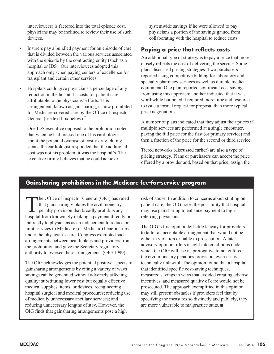interviewees) is factored into the total episode cost, physicians may be inclined to review their use of such devices.

- Insurers pay a bundled payment for an episode of care that is divided between the various services associated with the episode by the contracting entity (such as a hospital or IDS). Our interviewees adopted this approach only when paying centers of excellence for transplant and certain other services.
- Hospitals could give physicians a percentage of any reduction in the hospital's costs for patient care attributable to the physicians' efforts. This arrangement, known as gainsharing, is now prohibited for Medicare-covered care by the Office of Inspector General (see text box below).<sup>7</sup>

One IDS executive opposed to the prohibition noted that when he had pressed one of his cardiologists about the potential overuse of costly drug-eluting stents, the cardiologist responded that the additional cost was not his problem; it was the hospital's. The executive firmly believes that he could achieve

systemwide savings if he were allowed to pay physicians a portion of the savings gained from collaborating with the hospital to reduce costs.

## **Paying a price that reflects costs**

An additional type of strategy is to pay a price that more closely reflects the cost of delivering the service. Some plans discussed pricing strategies. Two purchasers reported using competitive bidding for laboratory and specialty pharmacy services as well as durable medical equipment. One plan reported significant cost savings from using this approach; another indicated that it was worthwhile but noted it required more time and resources to issue a formal request for proposal than more typical price negotiations.

A number of plans indicated that they adjust their prices if multiple services are performed at a single encounter, paying the full price for the first (or primary service) and then a fraction of the price for the second or third service.

Tiered networks (discussed earlier) are also a type of pricing strategy. Plans or purchasers can accept the price offered by a provider and, based on that price, assign the

## **Gainsharing prohibitions in the Medicare fee-for-service program**

The Office of Inspector General (OIG) has ruled that gainsharing violates the civil monetary penalty provision that broadly prohibits any hospital from knowingly making a payment directly or indirectly to physicians as an inducement to reduce or limit services to Medicare (or Medicaid) beneficiaries under the physician's care. Congress exempted such arrangements between health plans and providers from the prohibition and gave the Secretary regulatory authority to oversee these arrangements (OIG 1999).

The OIG acknowledges the potential positive aspects of gainsharing arrangements by citing a variety of ways savings can be generated without adversely affecting quality: substituting lower cost but equally effective medical supplies, items, or devices; reengineering hospital surgical and medical procedures; reducing use of medically unnecessary ancillary services; and reducing unnecessary lengths of stay. However, the OIG finds that gainsharing arrangements pose a high

risk of abuse. In addition to concerns about stinting on patient care, the OIG notes the possibility that hospitals may use gainsharing to enhance payment to highreferring physicians.

The OIG's first opinion left little leeway for providers to tailor an acceptable arrangement that would not be either in violation or liable to prosecution. A later advisory opinion offers insight into conditions under which the OIG will use its prerogative to not enforce the civil monetary penalties provision, even if it is technically unlawful. The opinion found that a hospital that identified specific cost-saving techniques, measured savings in ways that avoided creating adverse incentives, and measured quality of care would not be prosecuted. The approach exemplified in this opinion may still present obstacles if providers feel that by specifying the measures so distinctly and publicly, they are more vulnerable to malpractice suits.  $\blacksquare$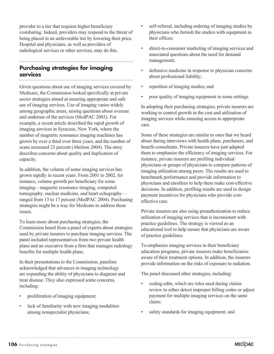provider to a tier that requires higher beneficiary costsharing. Indeed, providers may respond to the threat of being placed in an unfavorable tier by lowering their price. Hospital and physicians, as well as providers of radiological services or other services, may do this.

## **Purchasing strategies for imaging services**

Given questions about use of imaging services covered by Medicare, the Commission looked specifically at private sector strategies aimed at ensuring appropriate and safe use of imaging services. Use of imaging varies widely among geographic areas, raising questions about overuse and underuse of the services (MedPAC 2003). For example, a recent article described the rapid growth of imaging services in Syracuse, New York, where the number of magnetic resonance imaging machines has grown by over a third over three years, and the number of scans increased 23 percent (Abelson 2004). The story describes concerns about quality and duplication of capacity.

In addition, the volume of some imaging services has grown rapidly in recent years. From 2001 to 2002, for instance, volume growth per beneficiary for some imaging—magnetic resonance imaging, computed tomography, nuclear medicine, and heart echography ranged from 13 to 17 percent (MedPAC 2004). Purchasing strategies might be a way for Medicare to address these issues.

To learn more about purchasing strategies, the Commission heard from a panel of experts about strategies used by private insurers to purchase imaging services. The panel included representatives from two private health plans and an executive from a firm that manages radiology benefits for multiple health plans.

In their presentations to the Commission, panelists acknowledged that advances in imaging technology are expanding the ability of physicians to diagnose and treat disease. They also expressed some concerns, including:

- proliferation of imaging equipment;
- lack of familiarity with new imaging modalities among nonspecialist physicians;
- self-referral, including ordering of imaging studies by physicians who furnish the studies with equipment in their offices;
- direct-to-consumer marketing of imaging services and associated questions about the need for demand management;
- defensive medicine in response to physician concerns about professional liability;
- repetition of imaging studies; and
- poor quality of imaging equipment in some settings.

In adopting their purchasing strategies, private insurers are working to control growth in the cost and utilization of imaging services while ensuring access to appropriate care.

Some of these strategies are similar to ones that we heard about during interviews with health plans, purchasers, and benefit consultants. Private insurers have just adapted them to emphasize the efficiency of imaging services. For instance, private insurers are profiling individual physicians or groups of physicians to compare patterns of imaging utilization among peers. The results are used to benchmark performance and provide information to physicians and enrollees to help them make cost-effective decisions. In addition, profiling results are used to design payment incentives for physicians who provide costeffective care.

Private insurers are also using preauthorization to reduce utilization of imaging services that is inconsistent with practice guidelines. The strategy is viewed as an educational tool to help ensure that physicians are aware of practice guidelines.

To emphasize imaging services in their beneficiary education programs, private insurers make beneficiaries aware of their treatment options. In addition, the insurers provide information on the risks of exposure to radiation.

The panel discussed other strategies, including:

- coding edits, which are rules used during claims review to either detect improper billing codes or adjust payment for multiple imaging services on the same claim;
- safety standards for imaging equipment; and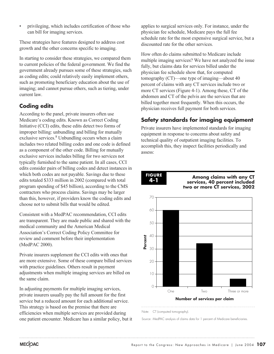• privileging, which includes certification of those who can bill for imaging services.

These strategies have features designed to address cost growth and the other concerns specific to imaging.

In starting to consider these strategies, we compared them to current policies of the federal government. We find the government already pursues some of these strategies, such as coding edits; could relatively easily implement others, such as promoting beneficiary education about the use of imaging; and cannot pursue others, such as tiering, under current law.

## **Coding edits**

According to the panel, private insurers often use Medicare's coding edits. Known as Correct Coding Initiative (CCI) edits, these edits detect two forms of improper billing: unbundling and billing for mutually exclusive services.<sup>8</sup> Unbundling occurs when a claim includes two related billing codes and one code is defined as a component of the other code. Billing for mutually exclusive services includes billing for two services not typically furnished to the same patient. In all cases, CCI edits consider pairs of billing codes and detect instances in which both codes are not payable. Savings due to these edits totaled \$333 million in 2002 (compared with total program spending of \$45 billion), according to the CMS contractors who process claims. Savings may be larger than this, however, if providers know the coding edits and choose not to submit bills that would be edited.

Consistent with a MedPAC recommendation, CCI edits are transparent. They are made public and shared with the medical community and the American Medical Association's Correct Coding Policy Committee for review and comment before their implementation (MedPAC 2000).

Private insurers supplement the CCI edits with ones that are more extensive. Some of these compare billed services with practice guidelines. Others result in payment adjustments when multiple imaging services are billed on the same claim.

In adjusting payments for multiple imaging services, private insurers usually pay the full amount for the first service but a reduced amount for each additional service. This strategy is based on the premise that there are efficiencies when multiple services are provided during one patient encounter. Medicare has a similar policy, but it

applies to surgical services only. For instance, under the physician fee schedule, Medicare pays the full fee schedule rate for the most expensive surgical service, but a discounted rate for the other services.

How often do claims submitted to Medicare include multiple imaging services? We have not analyzed the issue fully, but claims data for services billed under the physician fee schedule show that, for computed tomography (CT)—one type of imaging—about 40 percent of claims with any CT services include two or more CT services (Figure 4-1). Among these, CT of the abdomen and CT of the pelvis are the services that are billed together most frequently. When this occurs, the physician receives full payment for both services.

## **Safety standards for imaging equipment**

Private insurers have implemented standards for imaging equipment in response to concerns about safety and technical quality of outpatient imaging facilities. To accomplish this, they inspect facilities periodically and assess:

#### **FIGURE 4-1**

**Among claims with any CT services, 40 percent included two or more CT services, 2002**



Note: CT (computed tomography).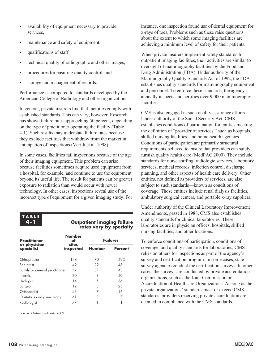- availability of equipment necessary to provide services,
- maintenance and safety of equipment,
- qualifications of staff.
- technical quality of radiographic and other images,
- procedures for ensuring quality control, and
- storage and management of records.

Performance is compared to standards developed by the American College of Radiology and other organizations.

In general, private insurers find that facilities comply with established standards. This can vary, however. Research has shown failure rates approaching 50 percent, depending on the type of practitioner operating the facility (Table 4-1). Such results may understate failure rates because they exclude facilities that withdraw from the market in anticipation of inspections (Verilli et al. 1998).

In some cases, facilities fail inspections because of the age of their imaging equipment. This problem can arise because facilities sometimes acquire used equipment from a hospital, for example, and continue to use the equipment beyond its useful life. The result for patients can be greater exposure to radiation than would occur with newer technology. In other cases, inspections reveal use of the incorrect type of equipment for a given imaging study. For



#### **Outpatient imaging failure rates vary by specialty**

| <b>Practitioner</b><br>or physician<br>specialist | <b>Number</b><br>sites<br>inspected | <b>Failures</b> |                |
|---------------------------------------------------|-------------------------------------|-----------------|----------------|
|                                                   |                                     | <b>Number</b>   | <b>Percent</b> |
| Chiropractor                                      | 144                                 | 70              | 49%            |
| Podiatrist                                        | 49                                  | 22              | 4.5            |
| Family or general practitioner                    | 72                                  | 31              | 43             |
| Internist                                         | 20                                  | 8               | 40             |
| Urologist                                         | 14                                  | 5               | 36             |
| Surgeon                                           | 12                                  |                 | 25             |
| Orthopedist                                       | 43                                  |                 | 16             |
| Obstetrics and gynecology                         | 41                                  | 3               |                |
| Radiologist                                       |                                     |                 |                |

Source: Orrison and Levin 2002.

instance, one inspection found use of dental equipment for x-rays of toes. Problems such as these raise questions about the extent to which some imaging facilities are achieving a minimum level of safety for their patients.

When private insurers implement safety standards for outpatient imaging facilities, their activities are similar to oversight of mammography facilities by the Food and Drug Administration (FDA). Under authority of the Mammography Quality Standards Act of 1992, the FDA establishes quality standards for mammography equipment and personnel. To enforce these standards, the agency annually inspects and certifies over 9,000 mammography facilities.

CMS is also engaged in such quality assurance efforts. Under authority of the Social Security Act, CMS establishes conditions of participation for entities meeting the definition of "provider of services," such as hospitals, skilled nursing facilities, and home health agencies. Conditions of participation are primarily structural requirements believed to ensure that providers can safely furnish quality health care (MedPAC 2000). They include standards for nurse staffing, radiologic services, laboratory services, medical records, infection control, discharge planning, and other aspects of health care delivery. Other entities, not defined as providers of services, are also subject to such standards—known as conditions of coverage. Those entities include renal dialysis facilities, ambulatory surgical centers, and portable x-ray suppliers.

Under authority of the Clinical Laboratory Improvement Amendments, passed in 1988, CMS also establishes quality standards for clinical laboratories. These laboratories are in physician offices, hospitals, skilled nursing facilities, and other locations.

To enforce conditions of participation, conditions of coverage, and quality standards for laboratories, CMS relies on others for inspections as part of the agency's survey and certification program. In some cases, state survey agencies conduct the certification surveys. In other cases, the surveys are conducted by private accreditation organizations, such as the Joint Commission on Accreditation of Healthcare Organizations. As long as the private organizations' standards meet or exceed CMS's standards, providers receiving private accreditation are deemed in compliance with the CMS standards.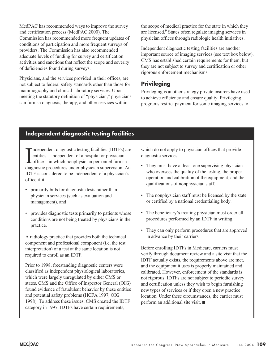MedPAC has recommended ways to improve the survey and certification process (MedPAC 2000). The Commission has recommended more frequent updates of conditions of participation and more frequent surveys of providers. The Commission has also recommended adequate levels of funding for survey and certification activities and sanctions that reflect the scope and severity of deficiencies found during surveys.

Physicians, and the services provided in their offices, are not subject to federal safety standards other than those for mammography and clinical laboratory services. Upon meeting the statutory definition of "physician," physicians can furnish diagnosis, therapy, and other services within

the scope of medical practice for the state in which they are licensed.9 States often regulate imaging services in physician offices through radiologic health initiatives.

Independent diagnostic testing facilities are another important source of imaging services (see text box below). CMS has established certain requirements for them, but they are not subject to survey and certification or other rigorous enforcement mechanisms.

### **Privileging**

Privileging is another strategy private insurers have used to achieve efficiency and ensure quality. Privileging programs restrict payment for some imaging services to

## **Independent diagnostic testing facilities**

I<br>diac ndependent diagnostic testing facilities (IDTFs) are entities—independent of a hospital or physician office—in which nonphysician personnel furnish diagnostic procedures under physician supervision. An IDTF is considered to be independent of a physician's office if it:

- primarily bills for diagnostic tests rather than physician services (such as evaluation and management), and
- provides diagnostic tests primarily to patients whose conditions are not being treated by physicians in the practice.

A radiology practice that provides both the technical component and professional component (i.e, the test interpretation) of a test at the same location is not required to enroll as an IDTF.

Prior to 1998, freestanding diagnostic centers were classified as independent physiological laboratories, which were largely unregulated by either CMS or states. CMS and the Office of Inspector General (OIG) found evidence of fraudulent behavior by these entities and potential safety problems (HCFA 1997, OIG 1998). To address these issues, CMS created the IDTF category in 1997. IDTFs have certain requirements,

which do not apply to physician offices that provide diagnostic services:

- They must have at least one supervising physician who oversees the quality of the testing, the proper operation and calibration of the equipment, and the qualifications of nonphysician staff.
- The nonphysician staff must be licensed by the state or certified by a national credentialing body.
- The beneficiary's treating physician must order all procedures performed by an IDTF in writing.
- They can only perform procedures that are approved in advance by their carriers.

Before enrolling IDTFs in Medicare, carriers must verify through document review and a site visit that the IDTF actually exists, the requirements above are met, and the equipment it uses is properly maintained and calibrated. However, enforcement of the standards is not rigorous: IDTFs are not subject to periodic survey and certification unless they wish to begin furnishing new types of services or if they open a new practice location. Under these circumstances, the carrier must perform an additional site visit.  $\blacksquare$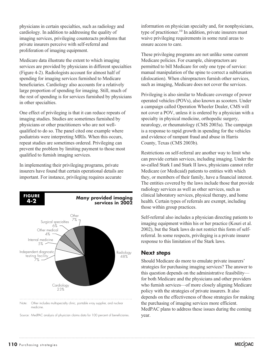physicians in certain specialties, such as radiology and cardiology. In addition to addressing the quality of imaging services, privileging counteracts problems that private insurers perceive with self-referral and proliferation of imaging equipment.

Medicare data illustrate the extent to which imaging services are provided by physicians in different specialties (Figure 4-2). Radiologists account for almost half of spending for imaging services furnished to Medicare beneficiaries. Cardiology also accounts for a relatively large proportion of spending for imaging. Still, much of the rest of spending is for services furnished by physicians in other specialties.

One effect of privileging is that it can reduce repeats of imaging studies. Studies are sometimes furnished by physicians or other practitioners who are not wellqualified to do so. The panel cited one example where podiatrists were interpreting MRIs. When this occurs, repeat studies are sometimes ordered. Privileging can prevent the problem by limiting payment to those most qualified to furnish imaging services.

In implementing their privileging programs, private insurers have found that certain operational details are important. For instance, privileging requires accurate



Source: MedPAC analysis of physician claims data for 100 percent of beneficiaries.

information on physician specialty and, for nonphysicians, type of practitioner.<sup>10</sup> In addition, private insurers must waive privileging requirements in some rural areas to ensure access to care.

These privileging programs are not unlike some current Medicare policies. For example, chiropractors are permitted to bill Medicare for only one type of service: manual manipulation of the spine to correct a subluxation (dislocation). When chiropractors furnish other services, such as imaging, Medicare does not cover the services.

Privileging is also similar to Medicare coverage of power operated vehicles (POVs), also known as scooters. Under a campaign called Operation Wheeler Dealer, CMS will not cover a POV, unless it is ordered by a physician with a specialty in physical medicine, orthopedic surgery, neurology, or rheumatology (CMS 2003a). The campaign is a response to rapid growth in spending for the vehicles and evidence of rampant fraud and abuse in Harris County, Texas (CMS 2003b).

Restrictions on self-referral are another way to limit who can provide certain services, including imaging. Under the so-called Stark I and Stark II laws, physicians cannot refer Medicare (or Medicaid) patients to entities with which they, or members of their family, have a financial interest. The entities covered by the laws include those that provide radiology services as well as other services, such as clinical laboratory services, physical therapy, and home health. Certain types of referrals are exempt, including those within group practices.

Self-referral also includes a physician directing patients to imaging equipment within his or her practice (Kouri et al. 2002), but the Stark laws do not restrict this form of selfreferral. In some respects, privileging is a private insurer response to this limitation of the Stark laws.

#### **Next steps**

Should Medicare do more to emulate private insurers' strategies for purchasing imaging services? The answer to this question depends on the administrative feasibility for both Medicare and the physicians and other providers who furnish services—of more closely aligning Medicare policy with the strategies of private insurers. It also depends on the effectiveness of those strategies for making the purchasing of imaging services more efficient. MedPAC plans to address these issues during the coming year.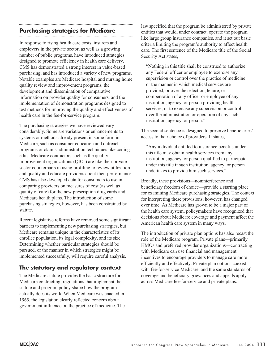## **Purchasing strategies for Medicare**

In response to rising health care costs, insurers and employers in the private sector, as well as a growing number of public programs, have introduced strategies designed to promote efficiency in health care delivery. CMS has demonstrated a strong interest in value-based purchasing, and has introduced a variety of new programs. Notable examples are Medicare hospital and nursing home quality review and improvement programs, the development and dissemination of comparative information on provider quality for consumers, and the implementation of demonstration programs designed to test methods for improving the quality and effectiveness of health care in the fee-for-service program.

The purchasing strategies we have reviewed vary considerably. Some are variations or enhancements to systems or methods already present in some form in Medicare, such as consumer education and outreach programs or claims administration techniques like coding edits. Medicare contractors such as the quality improvement organizations (QIOs) are like their private sector counterparts in using profiling to review utilization and quality and educate providers about their performance. CMS has also developed data for consumers to use in comparing providers on measures of cost (as well as quality of care) for the new prescription drug cards and Medicare health plans. The introduction of some purchasing strategies, however, has been constrained by statute.

Recent legislative reforms have removed some significant barriers to implementing new purchasing strategies, but Medicare remains unique in the characteristics of its enrollee population, its legal complexity, and its size. Determining whether particular strategies should be pursued, or the manner in which strategies might be implemented successfully, will require careful analysis.

#### **The statutory and regulatory context**

The Medicare statute provides the basic structure for Medicare contracting; regulations that implement the statute and program policy shape how the program actually does its work. When Medicare was enacted in 1965, the legislation clearly reflected concern about government influence on the practice of medicine. The

law specified that the program be administered by private entities that would, under contract, operate the program like large group insurance companies, and it set out basic criteria limiting the program's authority to affect health care. The first sentence of the Medicare title of the Social Security Act states,

"Nothing in this title shall be construed to authorize any Federal officer or employee to exercise any supervision or control over the practice of medicine or the manner in which medical services are provided, or over the selection, tenure, or compensation of any officer or employee of any institution, agency, or person providing health services; or to exercise any supervision or control over the administration or operation of any such institution, agency, or person."

The second sentence is designed to preserve beneficiaries' access to their choice of providers. It states,

"Any individual entitled to insurance benefits under this title may obtain health services from any institution, agency, or person qualified to participate under this title if such institution, agency, or person undertakes to provide him such services."

Broadly, these provisions—noninterference and beneficiary freedom of choice—provide a starting place for examining Medicare purchasing strategies. The context for interpreting these provisions, however, has changed over time. As Medicare has grown to be a major part of the health care system, policymakers have recognized that decisions about Medicare coverage and payment affect the American health care system in many ways.

The introduction of private plan options has also recast the role of the Medicare program. Private plans—primarily HMOs and preferred provider organizations—contracting with Medicare can use financial and management incentives to encourage providers to manage care more efficiently and effectively. Private plan options coexist with fee-for-service Medicare, and the same standards of coverage and beneficiary grievances and appeals apply across Medicare fee-for-service and private plans.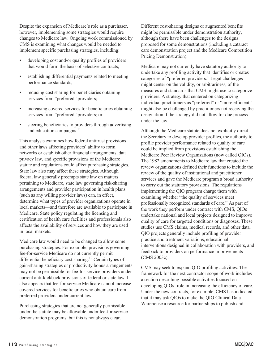Despite the expansion of Medicare's role as a purchaser, however, implementing some strategies would require changes to Medicare law. Ongoing work commissioned by CMS is examining what changes would be needed to implement specific purchasing strategies, including:

- developing cost and/or quality profiles of providers that would form the basis of selective contracts;
- establishing differential payments related to meeting performance standards;
- reducing cost sharing for beneficiaries obtaining services from "preferred" providers;
- increasing covered services for beneficiaries obtaining services from "preferred" providers; or
- steering beneficiaries to providers through advertising and education campaigns.<sup>11</sup>

This analysis examines how federal antitrust provisions and other laws affecting providers' ability to form networks or establish other financial arrangements, data privacy law, and specific provisions of the Medicare statute and regulations could affect purchasing strategies. State law also may affect these strategies. Although federal law generally preempts state law on matters pertaining to Medicare, state law governing risk-sharing arrangements and provider participation in health plans (such as any willing provider laws) can, in effect, determine what types of provider organizations operate in local markets—and therefore are available to participate in Medicare. State policy regulating the licensing and certification of health care facilities and professionals also affects the availability of services and how they are used in local markets.

Medicare law would need to be changed to allow some purchasing strategies. For example, provisions governing fee-for-service Medicare do not currently permit differential beneficiary cost sharing.<sup>12</sup> Certain types of gain-sharing strategies or productivity bonus arrangements may not be permissible for fee-for-service providers under current anti-kickback provisions of federal or state law. It also appears that fee-for-service Medicare cannot increase covered services for beneficiaries who obtain care from preferred providers under current law.

Purchasing strategies that are not generally permissible under the statute may be allowable under fee-for-service demonstration programs, but this is not always clear.

Different cost-sharing designs or augmented benefits might be permissible under demonstration authority, although there have been challenges to the designs proposed for some demonstrations (including a cataract care demonstration project and the Medicare Competition Pricing Demonstration).

Medicare may not currently have statutory authority to undertake any profiling activity that identifies or creates categories of "preferred providers." Legal challenges might center on the validity, or arbitrariness, of the measures and standards that CMS might use to categorize providers. A strategy that centered on categorizing individual practitioners as "preferred" or "more efficient" might also be challenged by practitioners not receiving the designation if the strategy did not allow for due process under the law.

Although the Medicare statute does not explicitly direct the Secretary to develop provider profiles, the authority to profile provider performance related to quality of care could be implied from provisions establishing the Medicare Peer Review Organizations (now called QIOs). The 1982 amendments to Medicare law that created the review organizations defined their functions to include the review of the quality of institutional and practitioner services and gave the Medicare program a broad authority to carry out the statutory provisions. The regulations implementing the QIO program charge them with examining whether "the quality of services meet professionally recognized standards of care." As part of the work they perform under contract with CMS, QIOs undertake national and local projects designed to improve quality of care for targeted conditions or diagnoses. These studies use CMS claims, medical records, and other data. QIO projects generally include profiling of provider practice and treatment variations, educational interventions designed in collaboration with providers, and feedback to providers on performance improvements (CMS 2003c).

CMS may seek to expand QIO profiling activities. The framework for the next contractor scope of work includes a section describing possible activities focused on developing QIOs' role in increasing the efficiency of care. Under the new contracts, for example, CMS has indicated that it may ask QIOs to make the QIO Clinical Data Warehouse a resource for partnerships to publish and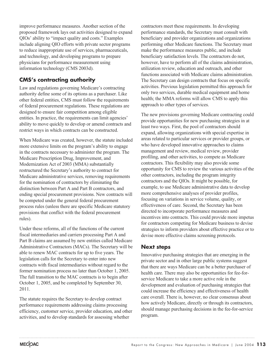improve performance measures. Another section of the proposed framework lays out activities designed to expand QIOs' ability to "impact quality and costs." Examples include aligning QIO efforts with private sector programs to reduce inappropriate use of services, pharmaceuticals, and technology, and developing programs to prepare physicians for performance measurement using information technology (CMS 2003d).

## **CMS's contracting authority**

Law and regulations governing Medicare's contracting authority define some of its options as a purchaser. Like other federal entities, CMS must follow the requirements of federal procurement regulations. These regulations are designed to ensure fair competition among eligible entities. In practice, the requirements can limit agencies' ability to move quickly to develop or amend contracts and restrict ways in which contracts can be constructed.

When Medicare was created, however, the statute included more extensive limits on the program's ability to engage in the contracts necessary to administer the program. The Medicare Prescription Drug, Improvement, and Modernization Act of 2003 (MMA) substantially restructured the Secretary's authority to contract for Medicare administrative services, removing requirements for the nomination of contractors by eliminating the distinction between Part A and Part B contractors, and ending special procurement provisions. New contracts will be competed under the general federal procurement process rules (unless there are specific Medicare statutory provisions that conflict with the federal procurement rules).

Under these reforms, all of the functions of the current fiscal intermediaries and carriers processing Part A and Part B claims are assumed by new entities called Medicare Administrative Contractors (MACs). The Secretary will be able to renew MAC contracts for up to five years. The legislation calls for the Secretary to enter into new contracts with fiscal intermediaries without regard to the former nomination process no later than October 1, 2005. The full transition to the MAC contracts is to begin after October 1, 2005, and be completed by September 30, 2011.

The statute requires the Secretary to develop contract performance requirements addressing claims processing efficiency, customer service, provider education, and other activities, and to develop standards for assessing whether

contractors meet these requirements. In developing performance standards, the Secretary must consult with beneficiary and provider organizations and organizations performing other Medicare functions. The Secretary must make the performance measures public, and include beneficiary satisfaction levels. The contractors do not, however, have to perform all of the claims administration, utilization review, education and outreach, and other functions associated with Medicare claims administration. The Secretary can design contracts that focus on specific activities. Previous legislation permitted this approach for only two services, durable medical equipment and home health; the MMA reforms will allow CMS to apply this approach to other types of services.

The new provisions governing Medicare contracting could provide opportunities for new purchasing strategies in at least two ways. First, the pool of contractors should expand, allowing organizations with special expertise in areas related to particular services or provider groups, or who have developed innovative approaches to claims management and review, medical review, provider profiling, and other activities, to compete as Medicare contractors. This flexibility may also provide some opportunity for CMS to review the various activities of the other contractors, including the program integrity contractors and the QIOs. It might be possible, for example, to use Medicare administrative data to develop more comprehensive analyses of provider profiles, focusing on variations in service volume, quality, or effectiveness of care. Second, the Secretary has been directed to incorporate performance measures and incentives into contracts. This could provide more impetus for contractors competing for Medicare business to devise strategies to inform providers about effective practice or to devise more effective claims screening protocols.

#### **Next steps**

Innovative purchasing strategies that are emerging in the private sector and in other large public systems suggest that there are ways Medicare can be a better purchaser of health care. There may also be opportunities for fee-forservice Medicare to take a more active role in the development and evaluation of purchasing strategies that could increase the efficiency and effectiveness of health care overall. There is, however, no clear consensus about how actively Medicare, directly or through its contractors, should manage purchasing decisions in the fee-for-service program.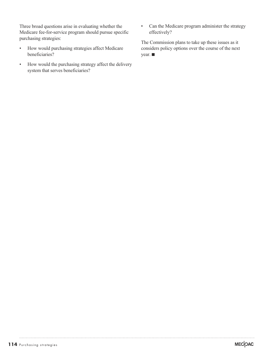Three broad questions arise in evaluating whether the Medicare fee-for-service program should pursue specific purchasing strategies:

- How would purchasing strategies affect Medicare beneficiaries?
- How would the purchasing strategy affect the delivery system that serves beneficiaries?
- Can the Medicare program administer the strategy effectively?

The Commission plans to take up these issues as it considers policy options over the course of the next  $year.$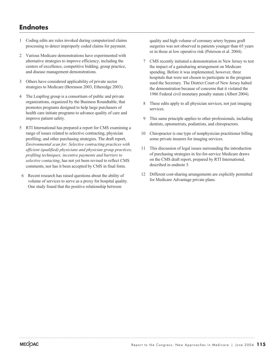## **Endnotes**

- 1 Coding edits are rules invoked during computerized claims processing to detect improperly coded claims for payment.
- 2 Various Medicare demonstrations have experimented with alternative strategies to improve efficiency, including the centers of excellence, competitive bidding, group practice, and disease management demonstrations.
- 3 Others have considered applicability of private sector strategies to Medicare (Berenson 2003, Etheredge 2003).
- 4 The Leapfrog group is a consortium of public and private organizations, organized by the Business Roundtable, that promotes programs designed to help large purchasers of health care initiate programs to advance quality of care and improve patient safety.
- 5 RTI International has prepared a report for CMS examining a range of issues related to selective contracting, physician profiling, and other purchasing strategies. The draft report, *Environmental scan for: Selective contracting practices with efficient (qualified) physicians and physician group practices; profiling techniques; incentive payments and barriers to selective contacting*, has not yet been revised to reflect CMS comments, nor has it been accepted by CMS in final form.
- 6 Recent research has raised questions about the ability of volume of services to serve as a proxy for hospital quality. One study found that the positive relationship between

quality and high volume of coronary artery bypass graft surgeries was not observed in patients younger than 65 years or in those at low operative risk (Peterson et al. 2004).

- 7 CMS recently initiated a demonstration in New Jersey to test the impact of a gainsharing arrangement on Medicare spending. Before it was implemented, however, three hospitals that were not chosen to participate in the program sued the Secretary. The District Court of New Jersey halted the demonstration because of concerns that it violated the 1986 Federal civil monetary penalty statute (Albert 2004).
- 8 These edits apply to all physician services, not just imaging services.
- 9 This same principle applies to other professionals, including dentists, optometrists, podiatrists, and chiropractors.
- 10 Chiropractor is one type of nonphysician practitioner billing some private insurers for imaging services.
- 11 This discussion of legal issues surrounding the introduction of purchasing strategies in fee-for-service Medicare draws on the CMS draft report, prepared by RTI International, described in endnote 5.
- 12 Different cost-sharing arrangements are explicitly permitted for Medicare Advantage private plans.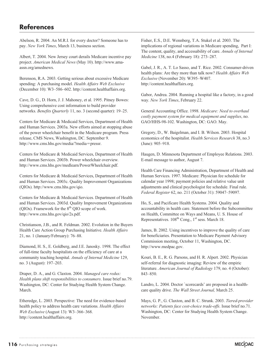Abelson, R. 2004. An M.R.I. for every doctor? Someone has to pay. *New York Times*, March 13, business section.

Albert, T. 2004. New Jersey court derails Medicare incentive pay project. *American Medical News* (May 10). http://www.amaassn.org/amednews.

Berenson, R.A. 2003. Getting serious about excessive Medicare spending: A purchasing model. *Health Affairs Web Exclusive* (December 10): W3–586–602. http://content.healthaffairs.org.

Cave, D. G., D. Horn, J. J. Mahoney, et al. 1995. Pitney Bowes: Using comprehensive cost information to build provider networks. *Benefits Quarterly* 11, no. 3 (second quarter): 19–25.

Centers for Medicare & Medicaid Services, Department of Health and Human Services. 2003a. New efforts aimed at stopping abuse of the power wheelchair benefit in the Medicare program*.* Press release, CMS News, Washington, DC. September 9. http://www.cms.hhs.gov/media/?media-pressr.

Centers for Medicare & Medicaid Services, Department of Health and Human Services. 2003b. Power wheelchair overview*.* http://www.cms.hhs.gov/medlearn/PowerWheelchair.pdf.

Centers for Medicare & Medicaid Services, Department of Health and Human Services. 2003c. Quality Improvement Organizations (QIOs). http://www.cms.hhs.gov/qio.

Centers for Medicare & Medicaid Services. Department of Health and Human Services. 2003d. Quality Improvement Organizations (QIOs). Framework for the  $8<sup>th</sup>$  QIO scope of work. http://www.cms.hhs.gov/qio/2s.pdf.

Christianson, J.B., and R. Feldman. 2002. Evolution in the Buyers Health Care Action Group Purchasing Initiative. *Health Affairs* 21, no. 1 (January/February): 76–88.

Diamond, H. S., E. Goldberg, and J.E. Janosky. 1998. The effect of full-time faculty hospitalists on the efficiency of care at a community teaching hospital. *Annals of Internal Medicine* 129, no. 3 (August): 197–203.

Draper, D. A., and G. Claxton. 2004. *Managed care redux: Health plans shift responsibilities to consumers*. Issue brief no.79. Washington, DC: Center for Studying Health System Change. March.

Etheredge, L. 2003. Perspective: The need for evidence-based health policy to address health care variations. *Health Affairs Web Exclusive* (August 13): W3–366–368. http://content.healthaffairs.org.

Fisher, E.S., D.E. Wennberg, T.A. Stukel et al. 2003. The implications of regional variations in Medicare spending, Part I: The content, quality, and accessability of care. *Annals of Internal Medicine* 138, no.4 (February 18): 273–287.

Gabel, J. R., A. T. Lo Sasso, and T. Rice. 2002. Consumer-driven health plans: Are they more than talk now? *Health Affairs Web Exclusive* (November 20): W395–W407. http://content.healthaffairs.org.

Gabor, Andrea. 2004. Running a hospital like a factory, in a good way. *New York Times*, February 22.

General Accounting Office. 1998. *Medicare: Need to overhaul costly payment system for medical equipment and supplies*, no. GAO/HHS-98-102. Washington, DC: GAO. May.

Gregory, D., W. Baigelman, and I. B. Wilson. 2003. Hospital economics of the hospitalist. *Health Services Research* 38, no.3 (June): 905–918.

Haugen, D. Minnesota Department of Employee Relations. 2003. E-mail message to author, August 7.

Health Care Financing Administration, Department of Health and Human Services. 1997. Medicare: Physician fee schedule for calendar year 1998; payment policies and relative value unit adjustments and clinical psychologist fee schedule. Final rule. *Federal Register* 62, no. 211 (October 31): 59047–59097.

Ho, S., and Pacificare Health Systems. 2004. Quality and accountability in health care. Statement before the Subcommittee on Health, Committee on Ways and Means, U. S. House of Representatives. 108<sup>th</sup> Cong., 1<sup>st</sup> sess. March 18.

James, B. 2002. Using incentives to improve the quality of care for beneficiaries. Presentation to Medicare Payment Advisory Commission meeting, October 11, Washington, DC. http://www.medpac.gov.

Kouri, B. E., R. G. Parsons, and H. R. Alpert. 2002. Physician self-referral for diagnostic imaging: Review of the empiric literature. *American Journal of Radiology* 179, no. 4 (October): 843–850.

Landro, L. 2004. Doctor `scorecards' are proposed in a healthcare quality drive. *The Wall Street Journal,* March 25.

Mays, G. P., G. Claxton, and B. C. Strunk. 2003. *Tiered-provider networks: Patients face cost-choice trade-offs*. Issue brief no.71. Washington, DC: Center for Studying Health System Change. November.